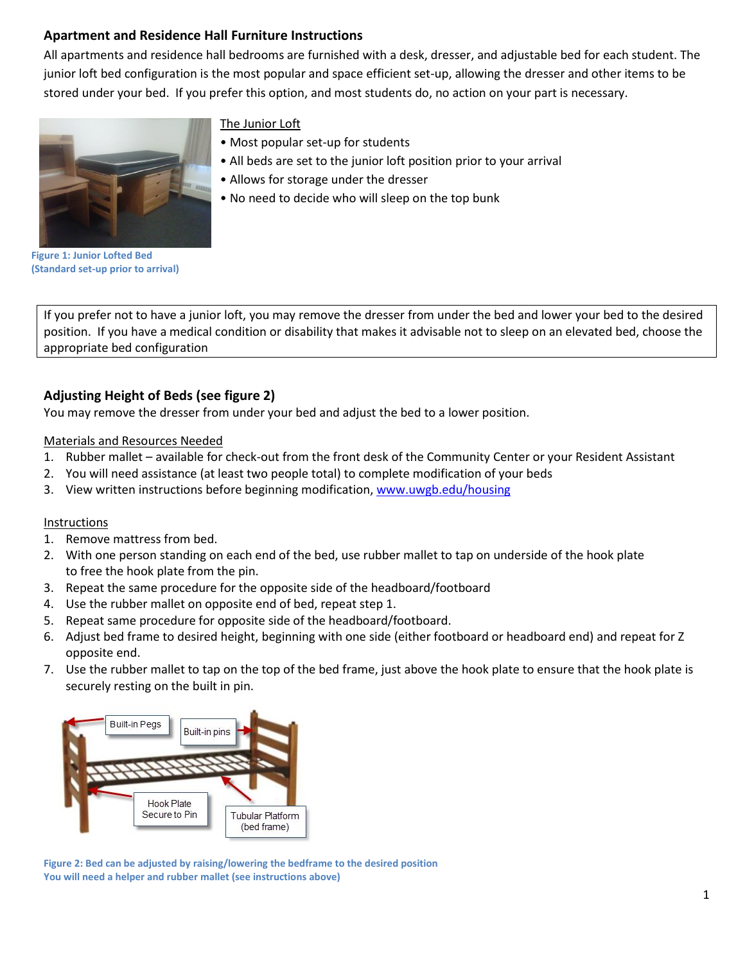# **Apartment and Residence Hall Furniture Instructions**

All apartments and residence hall bedrooms are furnished with a desk, dresser, and adjustable bed for each student. The junior loft bed configuration is the most popular and space efficient set-up, allowing the dresser and other items to be stored under your bed. If you prefer this option, and most students do, no action on your part is necessary.



## The Junior Loft

- Most popular set-up for students
- All beds are set to the junior loft position prior to your arrival
- Allows for storage under the dresser
- No need to decide who will sleep on the top bunk

**Figure 1: Junior Lofted Bed (Standard set-up prior to arrival)**

If you prefer not to have a junior loft, you may remove the dresser from under the bed and lower your bed to the desired position.If you have a medical condition or disability that makes it advisable not to sleep on an elevated bed, choose the appropriate bed configuration

# **Adjusting Height of Beds (see figure 2)**

You may remove the dresser from under your bed and adjust the bed to a lower position.

Materials and Resources Needed

- 1. Rubber mallet available for check-out from the front desk of the Community Center or your Resident Assistant
- 2. You will need assistance (at least two people total) to complete modification of your beds
- 3. View written instructions before beginning modification[, www.uwgb.edu/housing](http://www.uwgb.edu/housing)

### Instructions

- 1. Remove mattress from bed.
- 2. With one person standing on each end of the bed, use rubber mallet to tap on underside of the hook plate to free the hook plate from the pin.
- 3. Repeat the same procedure for the opposite side of the headboard/footboard
- 4. Use the rubber mallet on opposite end of bed, repeat step 1.
- 5. Repeat same procedure for opposite side of the headboard/footboard.
- 6. Adjust bed frame to desired height, beginning with one side (either footboard or headboard end) and repeat for Z opposite end.
- 7. Use the rubber mallet to tap on the top of the bed frame, just above the hook plate to ensure that the hook plate is securely resting on the built in pin.



**Figure 2: Bed can be adjusted by raising/lowering the bedframe to the desired position You will need a helper and rubber mallet (see instructions above)**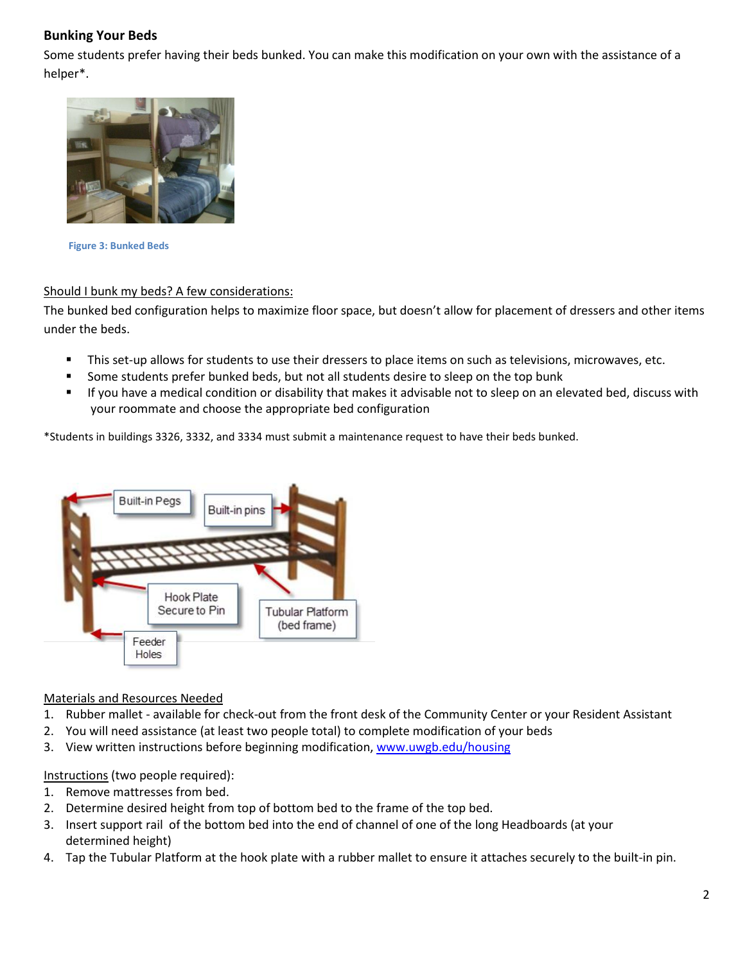# **Bunking Your Beds**

Some students prefer having their beds bunked. You can make this modification on your own with the assistance of a helper\*.



 **Figure 3: Bunked Beds** 

## Should I bunk my beds? A few considerations:

The bunked bed configuration helps to maximize floor space, but doesn't allow for placement of dressers and other items under the beds.

- This set-up allows for students to use their dressers to place items on such as televisions, microwaves, etc.
- Some students prefer bunked beds, but not all students desire to sleep on the top bunk
- If you have a medical condition or disability that makes it advisable not to sleep on an elevated bed, discuss with your roommate and choose the appropriate bed configuration

\*Students in buildings 3326, 3332, and 3334 must submit a maintenance request to have their beds bunked.



### Materials and Resources Needed

- 1. Rubber mallet available for check-out from the front desk of the Community Center or your Resident Assistant
- 2. You will need assistance (at least two people total) to complete modification of your beds
- 3. View written instructions before beginning modification[, www.uwgb.edu/housing](http://www.uwgb.edu/housing)

Instructions (two people required):

- 1. Remove mattresses from bed.
- 2. Determine desired height from top of bottom bed to the frame of the top bed.
- 3. Insert support rail of the bottom bed into the end of channel of one of the long Headboards (at your determined height)
- 4. Tap the Tubular Platform at the hook plate with a rubber mallet to ensure it attaches securely to the built-in pin.